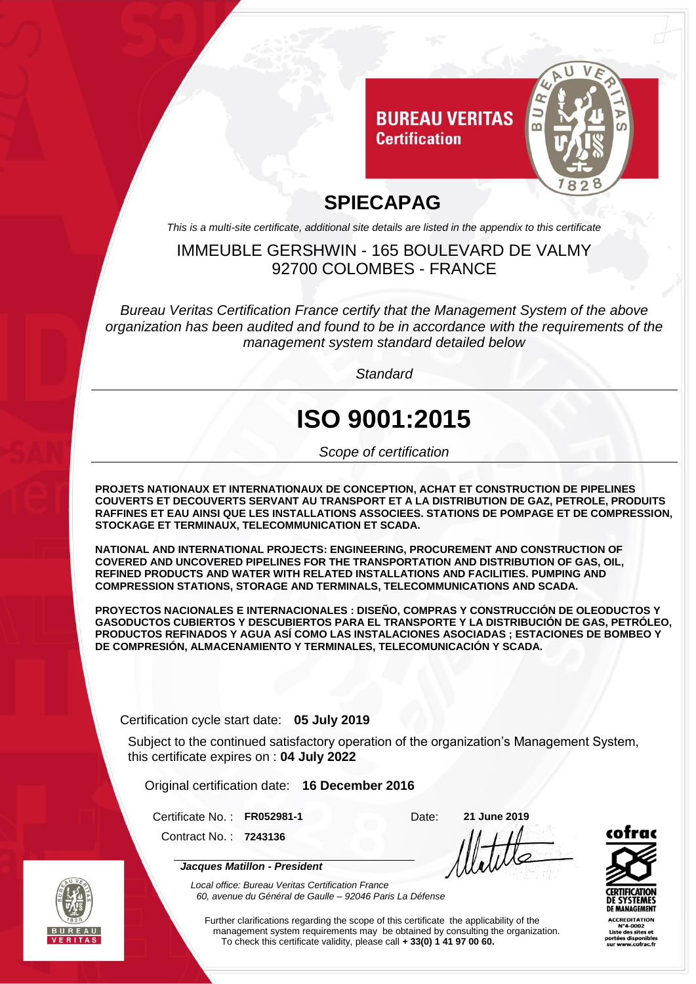

### **SPIECAPAG**

*This is a multi-site certificate, additional site details are listed in the appendix to this certificate*

#### IMMEUBLE GERSHWIN - 165 BOULEVARD DE VALMY 92700 COLOMBES - FRANCE

*Bureau Veritas Certification France certify that the Management System of the above organization has been audited and found to be in accordance with the requirements of the management system standard detailed below*

*Standard*

# **ISO 9001:2015**

*Scope of certification*

**PROJETS NATIONAUX ET INTERNATIONAUX DE CONCEPTION, ACHAT ET CONSTRUCTION DE PIPELINES COUVERTS ET DECOUVERTS SERVANT AU TRANSPORT ET A LA DISTRIBUTION DE GAZ, PETROLE, PRODUITS RAFFINES ET EAU AINSI QUE LES INSTALLATIONS ASSOCIEES. STATIONS DE POMPAGE ET DE COMPRESSION, STOCKAGE ET TERMINAUX, TELECOMMUNICATION ET SCADA.**

**NATIONAL AND INTERNATIONAL PROJECTS: ENGINEERING, PROCUREMENT AND CONSTRUCTION OF COVERED AND UNCOVERED PIPELINES FOR THE TRANSPORTATION AND DISTRIBUTION OF GAS, OIL, REFINED PRODUCTS AND WATER WITH RELATED INSTALLATIONS AND FACILITIES. PUMPING AND COMPRESSION STATIONS, STORAGE AND TERMINALS, TELECOMMUNICATIONS AND SCADA.**

**PROYECTOS NACIONALES E INTERNACIONALES : DISEÑO, COMPRAS Y CONSTRUCCIÓN DE OLEODUCTOS Y GASODUCTOS CUBIERTOS Y DESCUBIERTOS PARA EL TRANSPORTE Y LA DISTRIBUCIÓN DE GAS, PETRÓLEO, PRODUCTOS REFINADOS Y AGUA ASÍ COMO LAS INSTALACIONES ASOCIADAS ; ESTACIONES DE BOMBEO Y DE COMPRESIÓN, ALMACENAMIENTO Y TERMINALES, TELECOMUNICACIÓN Y SCADA.**

Certification cycle start date: **05 July 2019**

*Jacques Matillon - President*

Subject to the continued satisfactory operation of the organization's Management System, this certificate expires on : **04 July 2022**

Original certification date: **16 December 2016**

Certificate No. : **FR052981-1** Date: **21 June 2019** Contract No. : **7243136**



CCREDITATION



*Local office: Bureau Veritas Certification France 60, avenue du Général de Gaulle – 92046 Paris La Défense*

Further clarifications regarding the scope of this certificate the applicability of the management system requirements may be obtained by consulting the organization. To check this certificate validity, please call **+ 33(0) 1 41 97 00 60.**